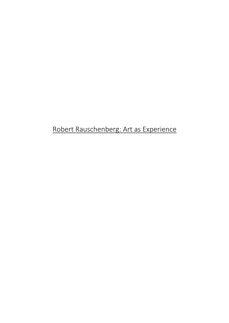# Robert Rauschenberg: Art as Experience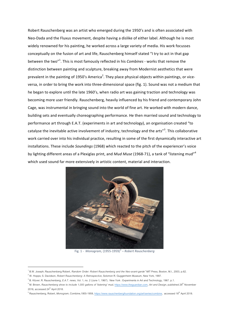Robert Rauschenberg was an artist who emerged during the 1950's and is often associated with Neo-Dada and the Fluxus movement, despite having a dislike of either label. Although he is most widely renowned for his painting, he worked across a large variety of media. His work focusses conceptually on the fusion of art and life, Rauschenberg himself stated "I try to act in that gap between the two"<sup>1</sup>. This is most famously reflected in his *Combines* - works that remove the distinction between painting and sculpture, breaking away from Modernist aesthetics that were prevalent in the painting of 1950's America<sup>2</sup>. They place physical objects within paintings, or viceversa, in order to bring the work into three-dimensional space (fig. 1). Sound was not a medium that he began to explore until the late 1960's, when radio art was gaining traction and technology was becoming more user friendly. Rauschenberg, heavily influenced by his friend and contemporary John Cage, was instrumental in bringing sound into the world of fine art. He worked with modern dance, building sets and eventually choreographing performance. He then married sound and technology to performance art through E.A.T. (experiments in art and technology), an organisation created "to catalyse the inevitable active involvement of industry, technology and the arts"<sup>3</sup>. This collaborative work carried over into his individual practice, resulting in some of the first dynamically interactive art installations. These include *Soundings* (1968) which reacted to the pitch of the experiencer's voice by lighting different areas of a Plexiglas print, and *Mud Muse* (1968-71), a tank of "listening mud"<sup>4</sup> which used sound far more extensively in artistic content, material and interaction.



Fig. 1 - *Monogram,* (1955-1959*) <sup>5</sup> – Robert Rauschenberg*

<sup>1</sup> B.W. Joseph; Rauschenberg Robert*, Random Order: Robert Rauschenberg and the Neo-avant-garde"* MIT Press, Boston, M.I., 2003, p.62.

<sup>2</sup> W. Hopps; S. Davidson, *Robert Rauschenberg: A Retrospective,* Solomon R. Guggenheim Museum, New York, 1997.

<sup>3</sup> B. Klüver; R. Rauschenberg, *E.A.T. news,* Vol. 1, no. 2 (June 1, 1967), New York : Experiments in Art and Technology, 1967. p.1.

<sup>&</sup>lt;sup>4</sup> M. Brown, *Rauschenberg show to include 1,000 gallons of 'listening' mud, <u>https://www.theguardian.com,</u> Art and Design, published 29<sup>th</sup> November*  $2016$ , accessed  $24^{\text{th}}$  April 2018.

<sup>&</sup>lt;sup>5</sup> Rauschenberg, Robert, *Monogram,* Combine,1955-1959, <u>https://www.rauschenbergfoundation.org/art/series/combine</u>, accessed 18<sup>th</sup> April 2018.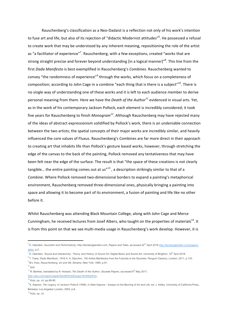Rauschenberg's classification as a Neo-Dadaist is a reflection not only of his work's intention to fuse art and life, but also of its rejection of "didactic Modernist attitudes"<sup>6</sup>. He possessed a refusal to create work that may be understood by any inherent meaning, repositioning the role of the artist as "a facilitator of experience"<sup>7</sup>. Rauschenberg, with a few exceptions, created "works that are strong straight precise and forever beyond understanding [in a logical manner]"<sup>8</sup>. This line from the first Dada Manifesto is best exemplified in Rauschenberg's Combines. Rauschenberg wanted to convey "the randomness of experience"<sup>9</sup> through the works, which focus on a completeness of composition; according to John Cage in a combine "each thing that is there is a subject"<sup>10</sup>. There is no single way of understanding one of these works and it is left to each audience member to derive personal meaning from them. Here we have the *Death of the Author*<sup>11</sup> evidenced in visual arts. Yet, as in the work of his contemporary Jackson Pollock, each element is incredibly considered; it took five years for Rauschenberg to finish *Monogram*<sup>12</sup>. Although Rauschenberg may have rejected many of the ideas of abstract expressionism solidified by Pollock's work, there is an undeniable connection between the two artists; the spatial concepts of their major works are incredibly similar, and heavily influenced the core values of Fluxus. Rauschenberg's Combines are far more direct in their approach to creating art that inhabits life than Pollock's gesture based works, however, through stretching the edge of the canvas to the back of the painting, Pollock removed any tentativeness that may have been felt near the edge of the surface. The result is that "the space of these creations is not clearly tangible... the entire painting comes out at us"<sup>13</sup>, a description strikingly similar to that of a *Combine*. Where Pollock removed two-dimensional borders to expand a painting's metaphorical environment, Rauschenberg removed three-dimensional ones, physically bringing a painting into space and allowing it to become part of its environment, a fusion of painting and life like no other before it.

Whilst Rauschenberg was attending Black Mountain College, along with John Cage and Merce Cunningham, he received lectures from Josef Albers, who taught on the properties of materials<sup>14</sup>. It is from this point on that we see multi-media usage in Rauschenberg's work develop. However, it is

<sup>&</sup>lt;sup>6</sup> K. Glandein, *SoundArt and Performativity*, http://kerstenglandien.com, Papers and Talks, accessed 22<sup>nd</sup> April 2018 <u>http://kerstenglandien.com/papers</u>talks/, p.2.

<sup>&</sup>lt;sup>7</sup> K. Glandien, 'Sound and Interactivity', *Theory and History of Sound Art*, Digital Music and Sound Art, University of Brighton, 18<sup>th</sup> April 2018.

<sup>&</sup>lt;sup>8</sup> T. Tzara, *Dada Manifesto,* 1918 in: A, Danchev, 100 Artists Manifestos from the Futurists to the Stuckists, Penguin Classics, London, 2011, p.143. 9 M.L Kotz, *Rauschenberg, art and life*, Abrams, New York, 1990, p.91.

 $10$  ibid.

<sup>&</sup>lt;sup>11</sup> R. Barthes, translated by R. Howard, *The Death of the Author*, Ubuweb Papers, accessed 6<sup>th</sup> May 2017,

http://ubu.com/aspen/aspen5and6/threeEssays.html#barthes,

 $^2$  Kotz, op. cit, pp.89-90.

<sup>13</sup>A. Kaprow, *The Legacy of Jackson Pollock* (1958), in Allan Kaprow – Essays on the Blurring of Art and Life. ed. J. Kelley. University of California Press, Berkeley/ Los Angeles/ London, 2003, p.6.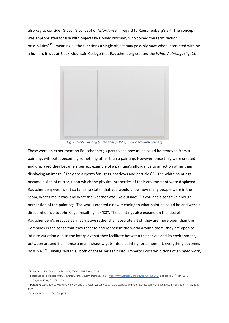also key to consider Gibson's concept of Affordance in regard to Rauschenberg's art. The concept was appropriated for use with objects by Donald Norman, who coined the term "action possibilities<sup>"15</sup> - meaning all the functions a single object may possibly have when interacted with by a human. It was at Black Mountain College that Rauschenberg created the White Paintings (fig. 2).



*Fig. 2: White Painting [Three Panel] (1951)16 – Robert Rauschenberg*

These were an experiment on Rauschenberg's part to see how much could be removed from a painting, without it becoming something other than a painting. However, once they were created and displayed they became a perfect example of a painting's affordance to an action other than displaying an image, "They are airports for lights, shadows and particles" $^{17}$ . The white paintings became a kind of mirror, upon which the physical properties of their environment were displayed. Rauschenberg even went so far as to state "that you would know how many people were in the room, what time it was, and what the weather was like outside"<sup>18</sup> if you had a sensitive enough perception of the paintings. The works created a new meaning to what painting could be and were a direct influence to John Cage, resulting in 4'33". The paintings also expand on the idea of Rauschenberg's practice as a facilitative rather than absolute artist, they are more open than the Combines in the sense that they react to and represent the world around them; they are open to infinite variation due to the interplay that they facilitate between the canvas and its environment, between art and life - "once a man's shadow gets into a painting for a moment, everything becomes possible."<sup>19</sup> .Having said this, both of these series fit into Umberto Eco's definitions of an *open work*,

<sup>15</sup> D. Norman, *The Design of Everyday Things,* MIT Press, 2013

<sup>&</sup>lt;sup>16</sup> Rauschenberg, Robert, *White Painting [Three Panel],* Painting, 1951, <u>https://www.sfmoma.org/artwork/98.308.A-C</u>, accessed 24<sup>th</sup> April 2018

 $17$  J. Cage in: Kotz, Op. Cit. p.76.

<sup>&</sup>lt;sup>18</sup> Robert Rauschenberg, video interview by David A. Ross, Walter Hopps, Gary Garrels, and Peter Samis, San Francisco Museum of Modern Art, May 6, 1999.

<sup>&</sup>lt;sup>19</sup>A. Kaprow in: Kotz, Op. Cit, p.79.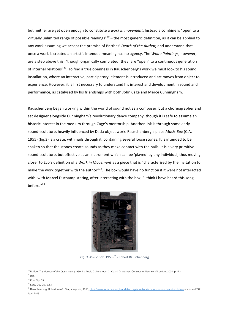but neither are yet open enough to constitute a *work in movement*. Instead a combine is "open to a virtually unlimited range of possible readings"<sup>20</sup> – the most generic definition, as it can be applied to any work assuming we accept the premise of Barthes' *Death of the Author*, and understand that once a work is created an artist's intended meaning has no agency. The *White Paintings*, however, are a step above this, "though organically completed [they] are "open" to a continuous generation of internal relations"<sup>21</sup>. To find a true openness in Rauschenberg's work we must look to his sound installation, where an interactive, participatory, element is introduced and art moves from object to experience. However, it is first necessary to understand his interest and development in sound and performance, as catalysed by his friendships with both John Cage and Merce Cunningham.

Rauschenberg began working within the world of sound not as a composer, but a choreographer and set designer alongside Cunningham's revolutionary dance company, though it is safe to assume an historic interest in the medium through Cage's mentorship. Another link is through some early sound-sculpture, heavily influenced by Dada object work. Rauschenberg's piece Music Box (C.A. 1955) (fig.3) is a crate, with nails through it, containing several loose stones. It is intended to be shaken so that the stones create sounds as they make contact with the nails. It is a very primitive sound-sculpture, but effective as an instrument which can be 'played' by any individual, thus moving closer to Eco's definition of a *Work in Movement* as a piece that is "characterised by the invitation to make the work together with the author" $^{22}$ . The box would have no function if it were not interacted with, with Marcel Duchamp stating, after interacting with the box, "I think I have heard this song before."<sup>23</sup>



*Fig. 3. Music Box* (1953)<sup>24</sup> - Robert Rauschenberg

 

<sup>24</sup> Rauschenberg, Robert, Music Box, sculpture, 1953, https://www.rauschenbergfoundation.org/art/artwork/music-box-elemental-sculpture accessed 24th April 2018

<sup>20</sup> U. Eco, *The Poetics of the Open Work* (1959) in: Audio Culture. eds. C. Cox & D. Warner. Continuum, New York/ London, 2004, p.173.

 $21$  ibid.

 $22$  Eco, Op. Cit.

<sup>23</sup> Kotz, Op. Cit., p.83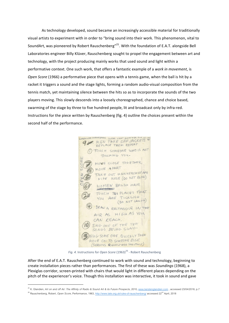As technology developed, sound became an increasingly accessible material for traditionally visual artists to experiment with in order to "bring sound into their work. This phenomenon, vital to SoundArt, was pioneered by Robert Rauschenberg"<sup>25</sup>. With the foundation of E.A.T. alongside Bell Laboratories engineer Billy Klüver, Rauschenberg sought to propel the engagement between art and technology, with the project producing mainly works that used sound and light within a performative context. One such work, that offers a fantastic example of a work in movement, is *Open Score* (1966) a performative piece that opens with a tennis game, when the ball is hit by a racket it triggers a sound and the stage lights, forming a random audio-visual composition from the tennis match, yet maintaining silence between the hits so as to incorporate the sounds of the two players moving. This slowly descends into a loosely choreographed, chance and choice based, swarming of the stage by three to five hundred people, lit and broadcast only by infra-red. Instructions for the piece written by Rauschenberg (fig. 4) outline the choices present within the second half of the performance.

WOMENWEAR DRESSES (DARK) (WEAR LIGHT SHIRT MEUWER DEBISSIONER) WEAR LIGHT SHIRT FOR SUIT OF REPLACE THEM REPEAT TOUCH SOMEONE WHO IS NOT JOUCHING YOU. MONE CLOSE TOGETHER MOVE APART TAKE OUT HANKERCHIEF AND WIPE NOSE (DO NOT BLOW) WOMEN BRUSH HAIR MENSTAND TOUCH TWO PLACES THAT YOU ARE TICKLISH (DO NOT LAUGH) DRAW A RECTANGLE IN THE AIR AS HIGH AS YOU CAN REACH, SING ONE OF THE TEN SONGS BEING SUNG HUG SOME ONE QUICKLY THEN MOVE ON TO SOMEONE ELSE. (SERIOUS QUICKLY AND SMOOTHLY)

*Fig. 4.* Instructions for *Open Score* (1963)<sup>26</sup> - Robert Rauschenberg

After the end of E.A.T. Rauschenberg continued to work with sound and technology, beginning to create installation pieces rather than performances. The first of these was *Soundings* (1968), a Plexiglas corridor, screen-printed with chairs that would light in different places depending on the pitch of the experiencer's voice. Though this installation was interactive, it took in sound and gave

<sup>&</sup>lt;sup>25</sup> K. Glandien, Art on and off Air: The Affinity of Radio & Sound Art & its Future Prospects, 2010, www.kerstenglandien.com, accessed 23/04/2018, p.7

<sup>&</sup>lt;sup>26</sup> Rauschenberg, Robert, *Open Score*, Performance, 1963, http://www.tate.org.uk/rules-of-rauschenberg/ accessed 22<sup>nd</sup> April, 2018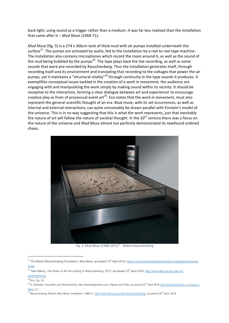back light, using sound as a trigger rather than a medium. It was far less realised than the installation that came after it - Mud Muse (1968-71).

*Mud Muse* (fig. 5) is a 274 x 366cm tank of thick mud with air pumps installed underneath the surface<sup>27</sup>. The pumps are activated by audio, fed to the installation by a reel to reel tape machine. The installation also contains microphones which record the room around it, as well as the sound of the mud being bubbled by the pumps<sup>28</sup>. The tape plays back the live recording, as well as some sounds that were pre-recorded by Rauschenberg. Thus the installation generates itself, through recording itself and its environment and translating that recording to the voltages that power the air pumps, yet it maintains a "structural vitality"<sup>29</sup> through continuity in the type sounds it produces. It exemplifies conceptual issues tackled in the creation of a work in movement, the audience are engaging with and manipulating the work simply by making sound within its vicinity. It should be receptive to the interaction, forming a clear dialogue between art and experiencer to encourage creative play as from of processual event art<sup>30</sup>. Eco states that the *work in movement*, must also represent the general scientific thought of an era. Mud muse, with its set occurrences, as well as internal and external interactions, can quite conceivably be drawn parallel with Einstein's model of the universe. This is in no way suggesting that this is what the work represents, just that inevitably the nature of art will follow the nature of societal thought. In the  $20^{th}$  century there was a focus on the nature of the universe and *Mud Muse* almost too perfectly demonstrated its newfound ordered chaos.



*Fig.* 5. Mud Muse (1968-1971)<sup>31</sup> - Robert Rauschenberg

<sup>&</sup>lt;sup>27</sup> The Robert Rauschenberg Foundation, Mud Muse, accessed 15<sup>th</sup> April 2018. https://www.rauschenbergfoundation.org/art/artwork/mudmuse

<sup>&</sup>lt;sup>28</sup> Tate Gallery, The Rules of Art According to Rauschenberg, 2017, accessed 15<sup>th</sup> April 2018. http://www.tate.org.uk/rules-of-

rauschenberg/

 $^9$  Eco, Op. Cit.

<sup>&</sup>lt;sup>30</sup> K. Glandein, *SoundArt and Performativity*, http://kerstenglandien.com, Papers and Talks, accessed 22<sup>nd</sup> April 2018 <u>http://kerstenglandien.com/papers-</u> talks/, p.1.

<sup>&</sup>lt;sup>1</sup> Rauschenberg, Robert, *Mud Muse*, Installation, 1968-71, http://www.tate.org.uk/rules-of-rauschenberg/, accessed 24<sup>th</sup> April, 2018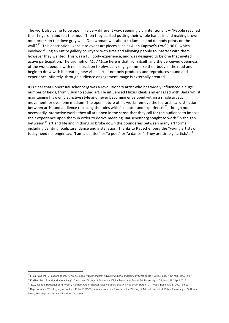The work also came to be open in a very different way, seemingly unintentionally – "People reached their fingers in and felt the mud...Then they started putting their whole hands in and making brown mud prints on the dove grey wall. One woman was about to jump in and do body prints on the wall."<sup>32</sup>. This description likens it to event art pieces such as Allan Kaprow's *Yard* (1961), which involved filling an entire gallery courtyard with tires and allowing people to interact with them however they wanted. This was a full body experience, and was designed to be one that invited active participation. The triumph of *Mud Muse* here is that from itself, and the perceived openness of the work, people with no instruction to physically engage immerse their body in the mud and begin to draw with it, creating new visual art. It not only produces and reproduces sound and experience infinitely, through audience engagement image is externally created.

It is clear that Robert Rauschenberg was a revolutionary artist who has widely influenced a huge number of fields, from visual to sound art. He influenced Fluxus ideals and engaged with Dada whilst maintaining his own distinctive style and never becoming enveloped within a single artistic movement, or even one medium. The open nature of his works remove the hierarchical distinction between artist and audience replacing the roles with facilitator and experiencer<sup>33</sup>, though not all necessarily interactive works they all are open in the sense that they call for the audience to impose their experience upon them in order to derive meaning. Rauschenberg sought to work "in the gap between"<sup>34</sup> art and life and in doing so broke down the boundaries between many art forms including painting, sculpture, dance and installation. Thanks to Rauschenberg the "young artists of today need no longer say, "I am a painter" or "a poet" or "a dancer". They are simply "artists"."<sup>35</sup>

<sup>32</sup> F. La Haye in: R. Rauschenberg, A. Kren, *Robert Rauschenberg: haywire: major technological works of the 1960s*, Hatje, New York, 1997, p.57.

<sup>&</sup>lt;sup>33</sup> K. Glandien, 'Sound and Interactivity', *Theory and History of Sound Art*, Digital Music and Sound Art, University of Brighton, 18<sup>th</sup> April 2018.

<sup>34</sup> B.W. Joseph; Rauschenberg Robert*, Random Order: Robert Rauschenberg and the Neo-avant-garde"* MIT Press, Boston, M.I., 2003, p.62.

<sup>&</sup>lt;sup>35</sup> Kaprow, Allan. "The Legacy of Jackson Pollock" (1958), in Allan Kaprow – Essays on the Blurring of Art and Life. ed. J. Kelley. University of California Press, Berkeley/ Los Angeles/ London, 2003, p.9.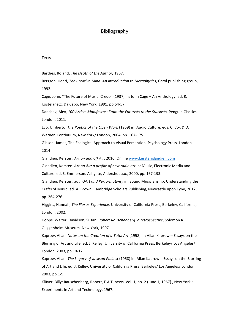## Bibliography

#### Texts

Barthes, Roland, *The Death of the Author*, 1967.

Bergson, Henri, *The Creative Mind. An Introduction to Metaphysics*, Carol publishing group, 1992.

Cage, John. "The Future of Music: Credo" (1937) in: John Cage – An Anthology. ed. R. Kostelanetz. Da Capo, New York, 1991, pp.54-57

Danchev, Alex, 100 Artists Manifestos: From the Futurists to the Stuckists, Penguin Classics, London, 2011.

Eco, Umberto. *The Poetics of the Open Work* (1959) in: Audio Culture. eds. C. Cox & D. Warner. Continuum, New York/ London, 2004, pp. 167-175.

Gibson, James, The Ecological Approach to Visual Perception, Psychology Press, London, 2014

Glandien, Kersten, Art on and off Air. 2010. Online www.kerstenglandien.com

Glandien, Kersten. Art on Air: a profile of new radio art in: Music, Electronic Media and Culture. ed. S. Emmerson. Ashgate, Aldershot a.o., 2000, pp. 167-193.

Glandien, Kersten. *SoundArt and Performativity* in: Sound Musicianship: Understanding the Crafts of Music, ed. A. Brown. Cambridge Scholars Publishing, Newcastle upon Tyne, 2012, pp. 264-276

Higgins, Hannah, *The Fluxus Experience*, University of California Press, Berkeley, California, London, 2002.

Hopps, Walter; Davidson, Susan, Robert Rauschenberg: a retrospective, Solomon R. Guggenheim Museum, New York, 1997.

Kaprow, Allan. *Notes on the Creation of a Total Art* (1958) in: Allan Kaprow – Essays on the Blurring of Art and Life. ed. J. Kelley. University of California Press, Berkeley/ Los Angeles/ London, 2003, pp.10-12

Kaprow, Allan. *The Legacy of Jackson Pollock* (1958) in: Allan Kaprow – Essays on the Blurring of Art and Life. ed. J. Kelley. University of California Press, Berkeley/ Los Angeles/ London, 2003, pp.1-9

Klüver, Billy; Rauschenberg, Robert, E.A.T. news, Vol. 1, no. 2 (June 1, 1967), New York : Experiments in Art and Technology, 1967.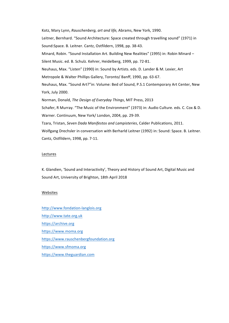Kotz, Mary Lynn, *Rauschenberg, art and life*, Abrams, New York, 1990. Leitner, Bernhard. "Sound Architecture: Space created through travelling sound" (1971) in Sound:Space. B. Leitner. Cantz, Ostfildern, 1998, pp. 38-43. Minard, Robin. "Sound Installation Art. Building New Realities" (1995) in: Robin Minard -Silent Music. ed. B. Schulz. Kehrer, Heidelberg, 1999, pp. 72-81. Neuhaus, Max. "Listen" (1990) in: Sound by Artists. eds. D. Lander & M. Lexier, Art Metropole & Walter Phillips Gallery, Toronto/ Banff, 1990, pp. 63-67. Neuhaus, Max. "Sound Art?"in: Volume: Bed of Sound, P.S.1 Contemporary Art Center, New York, July 2000. Norman, Donald, *The Design of Everyday Things*, MIT Press, 2013 Schafer, R Murray. "The Music of the Environment" (1973) in: Audio Culture. eds. C. Cox & D. Warner. Continuum, New York/ London, 2004, pp. 29-39. Tzara, Tristan, Seven Dada Manifestos and Lampisteries, Calder Publications, 2011. Wolfgang Drechsler in conversation with Berharld Leitner (1992) in: Sound: Space. B. Leitner.

Cantz, Ostfildern, 1998, pp. 7-11.

#### Lectures

K. Glandien, 'Sound and Interactivity', Theory and History of Sound Art, Digital Music and Sound Art, University of Brighton, 18th April 2018

#### Websites

http://www.fondation-langlois.org http://www.tate.org.uk https://archive.org https://www.moma.org https://www.rauschenbergfoundation.org https://www.sfmoma.org https://www.theguardian.com